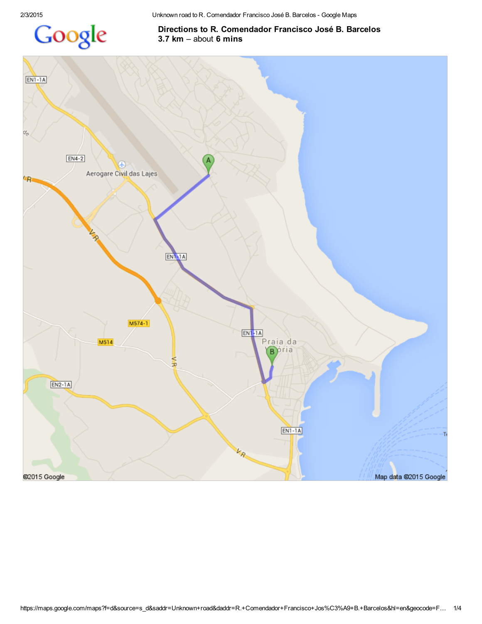

## Directions to R. Comendador Francisco José B. Barcelos 3.7 km – about 6 mins

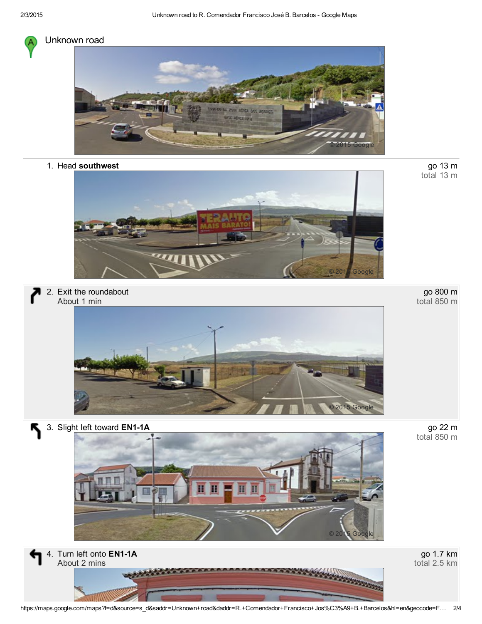

## Unknown road



1. Head southwest



2. Exit the roundabout About 1 min



go 800 m total 850 m

go 13 m<br>total 13 m

3. Slight left toward EN1-1A

Ķ



go 22 m<br>total 850 m



go 1.7 km total 2.5 km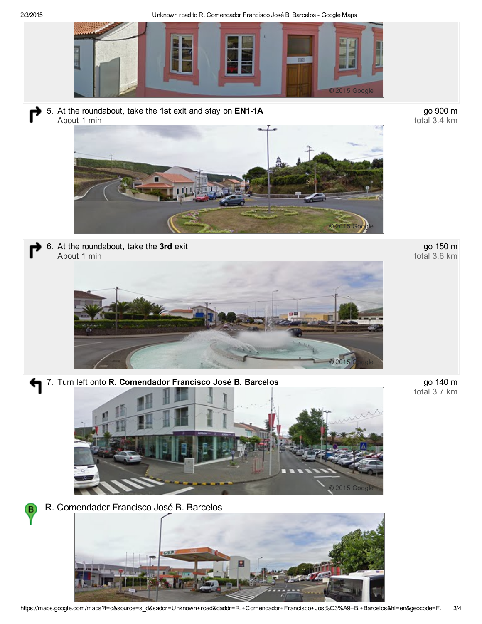2/3/2015 Unknown road to R. Comendador Francisco José B. Barcelos Google Maps



5. At the roundabout, take the 1st exit and stay on EN1-1A About 1 min



go 900 m total 3.4 km

go 150 m total 3.6 km





7. Turn left onto R. Comendador Francisco José B. Barcelos



R. Comendador Francisco José B. Barcelos

в



go 140 m<br>total 3.7 km